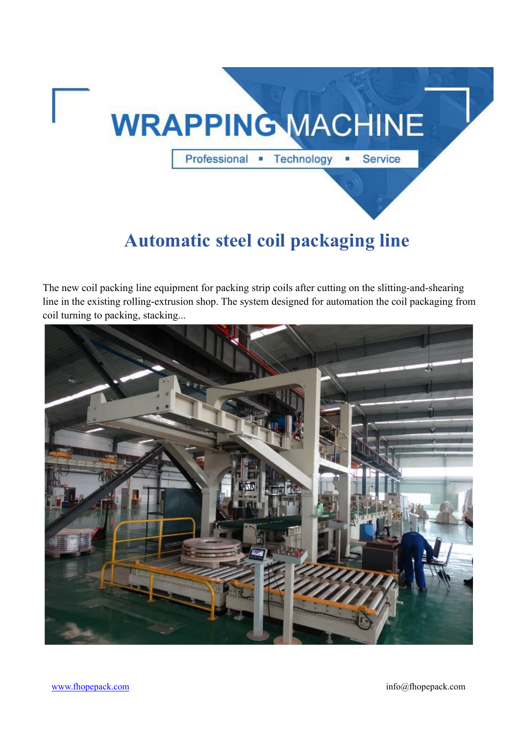

# **Automatic steel coil packaging line**

The new coil packing line equipment for packing strip coilsafter cutting on the slitting-and-shearing line in the existing rolling-extrusion shop. The system designed for automation the coil packaging from coil turning to packing, stacking...

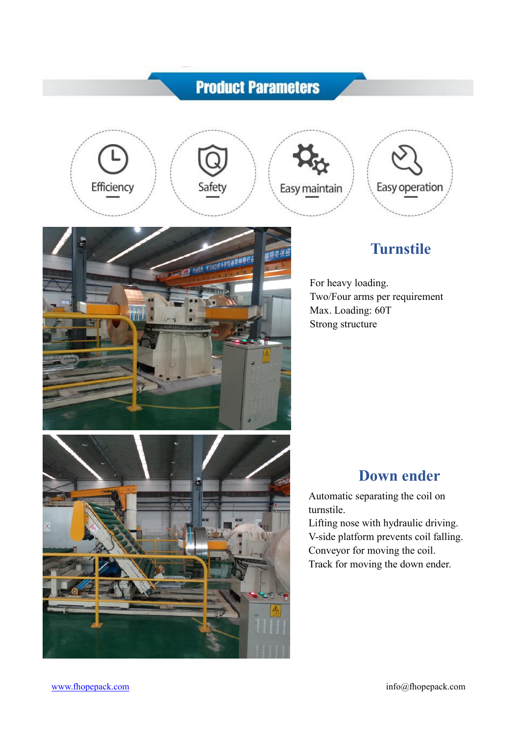# **Product Parameters**

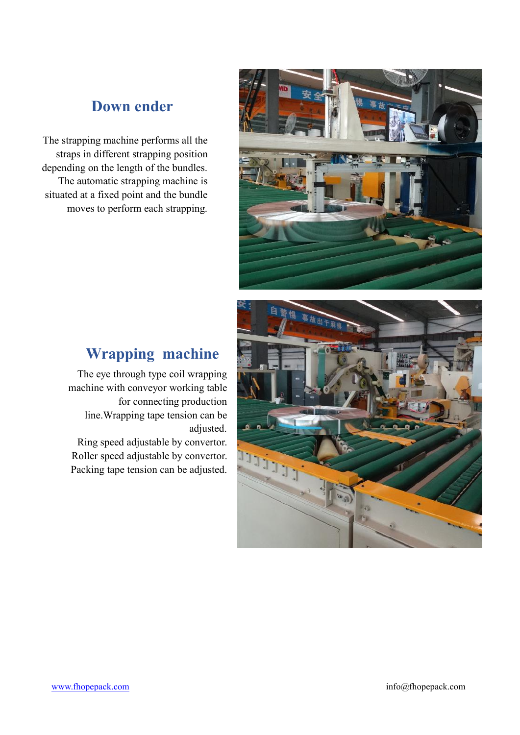#### **Down ender**

The strapping machine performs all the straps in different strapping position depending on the length of the bundles.<br>The automatic strapping machine is situated at a fixed point and the bundle moves to perform each strapping.



## **Wrapping machine**

The eye through type coil wrapping machine with conveyor working table for connecting production line.Wrapping tape tension can be adjusted.

Ring speed adjustable by convertor.<br>Roller speed adjustable by convertor. Roller speed adjustable by convertor. Packing tape tension can be adjusted.

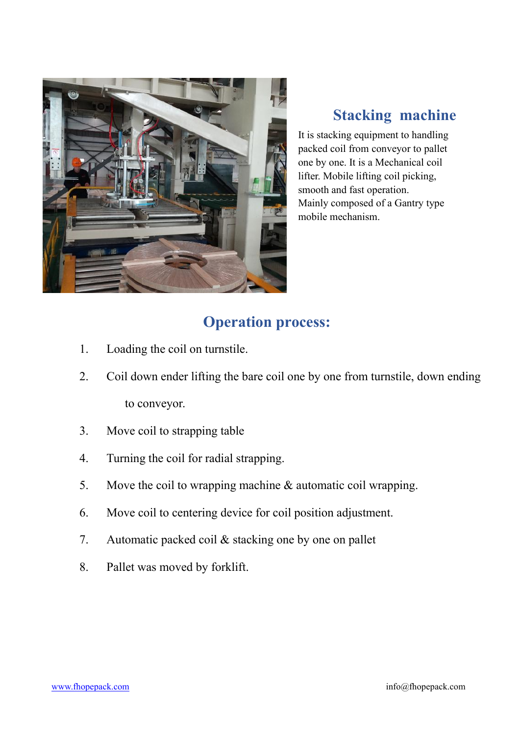

## **Stacking machine**

It is stacking equipment to handling packed coil from conveyor to pallet one by one. It is a Mechanical coil lifter. Mobile lifting coil picking, smooth and fast operation. Mainly composed of a Gantry type mobile mechanism.

### **Operation process:**

- 1. Loading the coil on turnstile.
- 2. Coil down ender lifting the bare coil one by one from turnstile, down ending to conveyor.
- 3. Move coil to strapping table
- 4. Turning the coil for radial strapping.
- 5. Move the coil to wrapping machine & automatic coil wrapping.
- 6. Move coil to centering device for coilposition adjustment.
- 7. Automatic packed coil & stacking one by one on pallet
- 8. Pallet was moved by forklift.